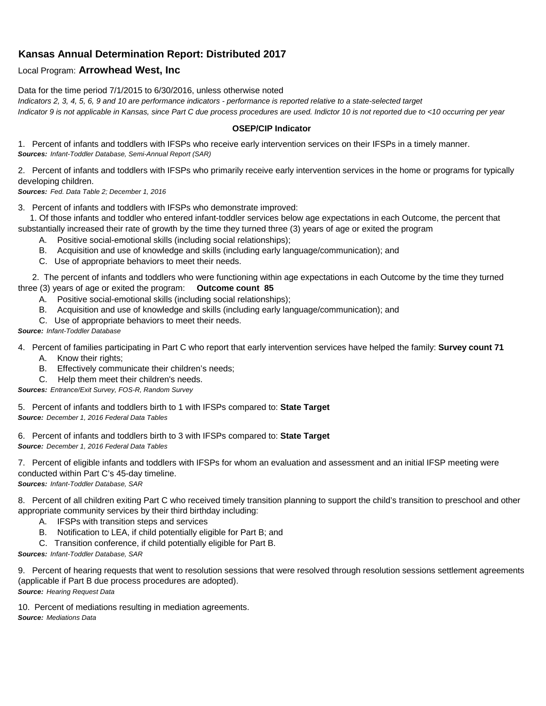## **Kansas Annual Determination Report: Distributed 2017**

## Local Program: **Arrowhead West, Inc**

Data for the time period 7/1/2015 to 6/30/2016, unless otherwise noted *Indicators 2, 3, 4, 5, 6, 9 and 10 are performance indicators - performance is reported relative to a state-selected target Indicator 9 is not applicable in Kansas, since Part C due process procedures are used. Indictor 10 is not reported due to <10 occurring per year*

## **OSEP/CIP Indicator**

1. Percent of infants and toddlers with IFSPs who receive early intervention services on their IFSPs in a timely manner. *Sources: Infant-Toddler Database, Semi-Annual Report (SAR)* 

2. Percent of infants and toddlers with IFSPs who primarily receive early intervention services in the home or programs for typically developing children.

*Sources: Fed. Data Table 2; December 1, 2016*

3. Percent of infants and toddlers with IFSPs who demonstrate improved:

 1. Of those infants and toddler who entered infant-toddler services below age expectations in each Outcome, the percent that substantially increased their rate of growth by the time they turned three (3) years of age or exited the program

- A. Positive social-emotional skills (including social relationships);
- B. Acquisition and use of knowledge and skills (including early language/communication); and
- C. Use of appropriate behaviors to meet their needs.

 2. The percent of infants and toddlers who were functioning within age expectations in each Outcome by the time they turned three (3) years of age or exited the program: **Outcome count 85**

- A. Positive social-emotional skills (including social relationships);
- B. Acquisition and use of knowledge and skills (including early language/communication); and
- C. Use of appropriate behaviors to meet their needs.

## *Source: Infant-Toddler Database*

4. Percent of families participating in Part C who report that early intervention services have helped the family: **Survey count 71**

- A. Know their rights;
- B. Effectively communicate their children's needs;
- C. Help them meet their children's needs.

*Sources: Entrance/Exit Survey, FOS-R, Random Survey*

5. Percent of infants and toddlers birth to 1 with IFSPs compared to: **State Target** *Source: December 1, 2016 Federal Data Tables*

6. Percent of infants and toddlers birth to 3 with IFSPs compared to: **State Target** *Source: December 1, 2016 Federal Data Tables*

7. Percent of eligible infants and toddlers with IFSPs for whom an evaluation and assessment and an initial IFSP meeting were conducted within Part C's 45-day timeline.

*Sources: Infant-Toddler Database, SAR*

8. Percent of all children exiting Part C who received timely transition planning to support the child's transition to preschool and other appropriate community services by their third birthday including:

- A. IFSPs with transition steps and services
- B. Notification to LEA, if child potentially eligible for Part B; and
- C. Transition conference, if child potentially eligible for Part B.

*Sources: Infant-Toddler Database, SAR*

9. Percent of hearing requests that went to resolution sessions that were resolved through resolution sessions settlement agreements (applicable if Part B due process procedures are adopted). *Source: Hearing Request Data*

10. Percent of mediations resulting in mediation agreements. *Source: Mediations Data*